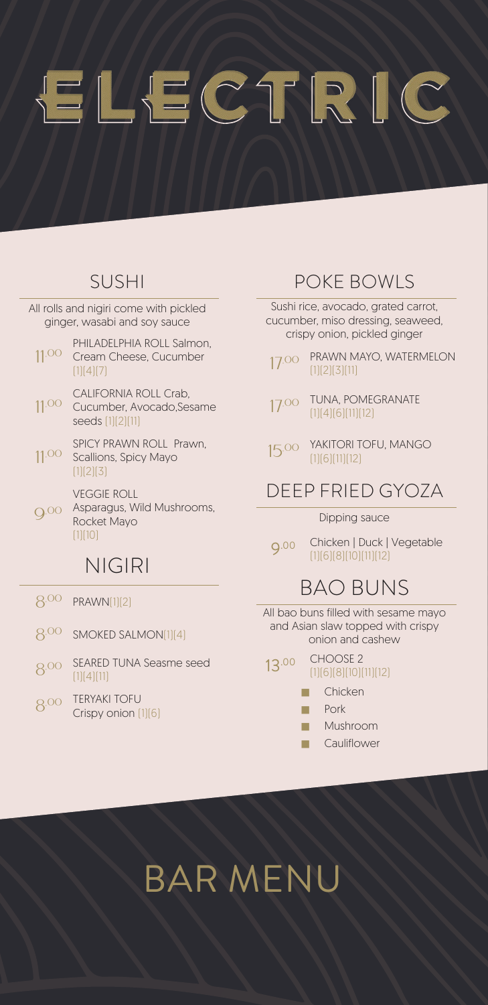# ELECTRIC

#### SUSHI

All rolls and nigiri come with pickled ginger, wasabi and soy sauce

- 11.00 PHILADELPHIA ROLL Salmon, Cream Cheese, Cucumber  $[1][4][7]$
- 11.00 CALIFORNIA ROLL Crab, Cucumber, Avocado,Sesame seeds (1)(2)(11)
- 11.00 SPICY PRAWN ROLL Prawn, Scallions, Spicy Mayo  $[1][2][3]$

VEGGIE ROLL

Q.00 Asparagus, Wild Mushrooms, Rocket Mayo  $[1]$  $[10]$ 

#### NIGIRI

- 8.00 PRAWN(1)(2)
- 8.00 SMOKED SALMON(1)(4)
- 8.00 SEARED TUNA Seasme seed  $[1][4][11]$
- 8.00 TERYAKI TOFU Crispy onion (1)(6)

#### POKE BOWLS

Sushi rice, avocado, grated carrot, cucumber, miso dressing, seaweed, crispy onion, pickled ginger

- 17.00 PRAWN MAYO, WATERMELON  $(1)(2)(3)(11)$
- 17.00 TUNA, POMEGRANATE (1)(4)(6)(11)(12)
- 15.00 YAKITORI TOFU, MANGO (1)(6)(11)(12)

#### DEEP FRIED GYOZA

#### Dipping sauce

9.00 Chicken | Duck | Vegetable (1)(6)(8)(10)(11)(12)

#### BAO BUNS

All bao buns filled with sesame mayo and Asian slaw topped with crispy onion and cashew

- 13.00 CHOOSE 2 (1)(6)(8)(10)(11)(12)
	- **T** Chicken
	- **N** Pork
	- ̓ Mushroom
	- **T** Cauliflower

## BAR MENU